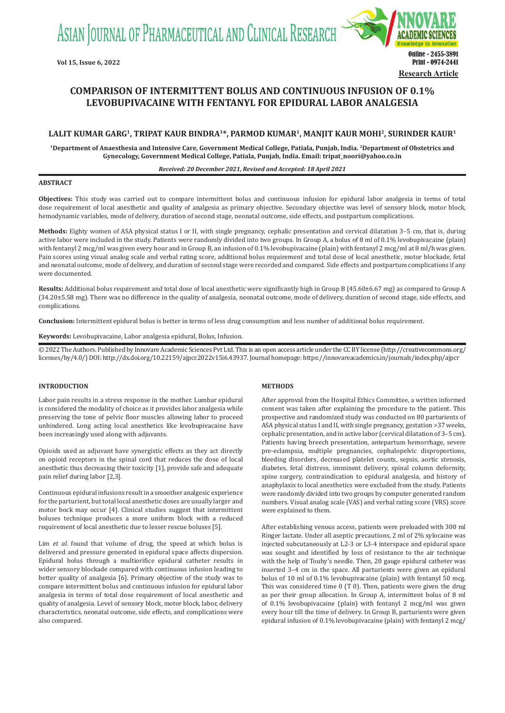ASIAN JOURNAL OF PHARMACEUTICAL AND CLINICAL RESEARCH



# **COMPARISON OF INTERMITTENT BOLUS AND CONTINUOUS INFUSION OF 0.1% LEVOBUPIVACAINE WITH FENTANYL FOR EPIDURAL LABOR ANALGESIA**

# **LALIT KUMAR GARG1, TRIPAT KAUR BINDRA1\*, PARMOD KUMAR1, MANJIT KAUR MOHI2, SURINDER KAUR1**

**1Department of Anaesthesia and Intensive Care, Government Medical College, Patiala, Punjab, India. 2Department of Obstetrics and Gynecology, Government Medical College, Patiala, Punjab, India. Email: tripat\_noori@yahoo.co.in**

#### *Received: 20 December 2021, Revised and Accepted: 18 April 2021*

#### **ABSTRACT**

**Objectives:** This study was carried out to compare intermittent bolus and continuous infusion for epidural labor analgesia in terms of total dose requirement of local anesthetic and quality of analgesia as primary objective. Secondary objective was level of sensory block, motor block, hemodynamic variables, mode of delivery, duration of second stage, neonatal outcome, side effects, and postpartum complications.

**Methods:** Eighty women of ASA physical status I or II, with single pregnancy, cephalic presentation and cervical dilatation 3–5 cm, that is, during active labor were included in the study. Patients were randomly divided into two groups. In Group A, a bolus of 8 ml of 0.1% levobupivacaine (plain) with fentanyl 2 mcg/ml was given every hour and in Group B, an infusion of 0.1% levobupivacaine (plain) with fentanyl 2 mcg/ml at 8 ml/h was given. Pain scores using visual analog scale and verbal rating score, additional bolus requirement and total dose of local anesthetic, motor blockade, fetal and neonatal outcome, mode of delivery, and duration of second stage were recorded and compared. Side effects and postpartum complications if any were documented.

**Results:** Additional bolus requirement and total dose of local anesthetic were significantly high in Group B (45.60±6.67 mg) as compared to Group A (34.20±5.58 mg). There was no difference in the quality of analgesia, neonatal outcome, mode of delivery, duration of second stage, side effects, and complications.

**Conclusion:** Intermittent epidural bolus is better in terms of less drug consumption and less number of additional bolus requirement.

**Keywords:** Levobupivacaine, Labor analgesia epidural, Bolus, Infusion.

© 2022 The Authors. Published by Innovare Academic Sciences Pvt Ltd. This is an open access article under the CC BY license (http://creativecommons.org/ licenses/by/4.0/) DOI: http://dx.doi.org/10.22159/ajpcr.2022v15i6.43937. Journal homepage: https://innovareacademics.in/journals/index.php/ajpcr

# **INTRODUCTION**

Labor pain results in a stress response in the mother. Lumbar epidural is considered the modality of choice as it provides labor analgesia while preserving the tone of pelvic floor muscles allowing labor to proceed unhindered. Long acting local anesthetics like levobupivacaine have been increasingly used along with adjuvants.

Opioids used as adjuvant have synergistic effects as they act directly on opioid receptors in the spinal cord that reduces the dose of local anesthetic thus decreasing their toxicity [1], provide safe and adequate pain relief during labor [2,3].

Continuous epidural infusions result in a smoother analgesic experience for the parturient, but total local anesthetic doses are usually larger and motor bock may occur [4]. Clinical studies suggest that intermittent boluses technique produces a more uniform block with a reduced requirement of local anesthetic due to lesser rescue boluses [5].

Lim *et al*. found that volume of drug, the speed at which bolus is delivered and pressure generated in epidural space affects dispersion. Epidural bolus through a multiorifice epidural catheter results in wider sensory blockade compared with continuous infusion leading to better quality of analgesia [6]. Primary objective of the study was to compare intermittent bolus and continuous infusion for epidural labor analgesia in terms of total dose requirement of local anesthetic and quality of analgesia. Level of sensory block, motor block, labor, delivery characteristics, neonatal outcome, side effects, and complications were also compared.

#### **METHODS**

After approval from the Hospital Ethics Committee, a written informed consent was taken after explaining the procedure to the patient. This prospective and randomized study was conducted on 80 parturients of ASA physical status I and II, with single pregnancy, gestation >37 weeks, cephalic presentation, and in active labor (cervical dilatation of 3–5 cm). Patients having breech presentation, antepartum hemorrhage, severe pre-eclampsia, multiple pregnancies, cephalopelvic disproportions, bleeding disorders, decreased platelet counts, sepsis, aortic stenosis, diabetes, fetal distress, imminent delivery, spinal column deformity, spine surgery, contraindication to epidural analgesia, and history of anaphylaxis to local anesthetics were excluded from the study. Patients were randomly divided into two groups by computer generated random numbers. Visual analog scale (VAS) and verbal rating score (VRS) score were explained to them.

After establishing venous access, patients were preloaded with 300 ml Ringer lactate. Under all aseptic precautions, 2 ml of 2% xylocaine was injected subcutaneously at L2-3 or L3-4 interspace and epidural space was sought and identified by loss of resistance to the air technique with the help of Touhy's needle. Then, 20 gauge epidural catheter was inserted 3–4 cm in the space. All parturients were given an epidural bolus of 10 ml of 0.1% levobupivacaine (plain) with fentanyl 50 mcg. This was considered time 0 (T 0). Then, patients were given the drug as per their group allocation. In Group A, intermittent bolus of 8 ml of 0.1% levobupivacaine (plain) with fentanyl 2 mcg/ml was given every hour till the time of delivery. In Group B, parturients were given epidural infusion of 0.1% levobupivacaine (plain) with fentanyl 2 mcg/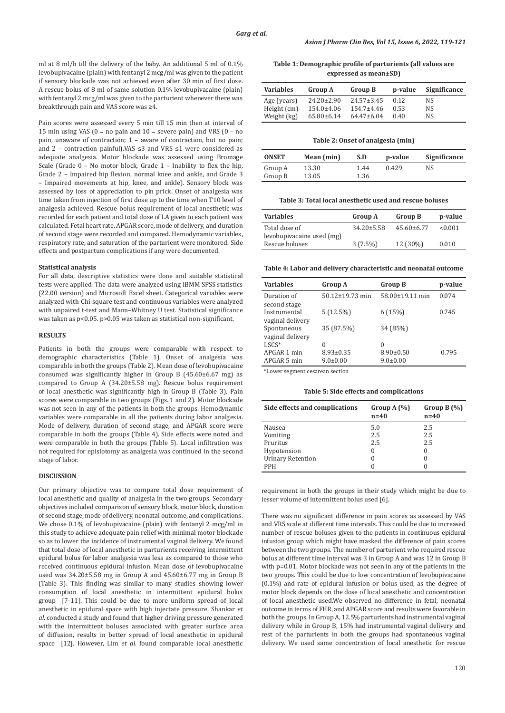ml at 8 ml/h till the delivery of the baby. An additional 5 ml of 0.1% levobupivacaine (plain) with fentanyl 2 mcg/ml was given to the patient if sensory blockade was not achieved even after 30 min of first dose. A rescue bolus of 8 ml of same solution 0.1% levobupivacaine (plain) with fentanyl 2 mcg/ml was given to the parturient whenever there was breakthrough pain and VAS score was ≥4.

Pain scores were assessed every 5 min till 15 min then at interval of 15 min using VAS ( $0 = no$  pain and  $10 = se$ vere pain) and VRS ( $0 - no$ pain, unaware of contraction; 1 – aware of contraction, but no pain; and 2 – contraction painful).VAS ≤3 and VRS ≤1 were considered as adequate analgesia. Motor blockade was assessed using Bromage Scale (Grade 0 – No motor block, Grade 1 – Inability to flex the hip, Grade 2 – Impaired hip flexion, normal knee and ankle, and Grade 3 – Impaired movements at hip, knee, and ankle). Sensory block was assessed by loss of appreciation to pin prick. Onset of analgesia was time taken from injection of first dose up to the time when T10 level of analgesia achieved. Rescue bolus requirement of local anesthetic was recorded for each patient and total dose of LA given to each patient was calculated. Fetal heart rate, APGAR score, mode of delivery, and duration of second stage were recorded and compared. Hemodynamic variables, respiratory rate, and saturation of the parturient were monitored. Side effects and postpartum complications if any were documented.

#### **Statistical analysis**

For all data, descriptive statistics were done and suitable statistical tests were applied. The data were analyzed using IBMM SPSS statistics (22.00 version) and Microsoft Excel sheet. Categorical variables were analyzed with Chi-square test and continuous variables were analyzed with unpaired t-test and Mann–Whitney U test. Statistical significance was taken as p<0.05. p>0.05 was taken as statistical non-significant.

#### **RESULTS**

Patients in both the groups were comparable with respect to demographic characteristics (Table 1). Onset of analgesia was comparable in both the groups (Table 2). Mean dose of levobupivacaine consumed was significantly higher in Group B (45.60±6.67 mg) as compared to Group A (34.20±5.58 mg). Rescue bolus requirement of local anesthetic was significantly high in Group B (Table 3). Pain scores were comparable in two groups (Figs. 1 and 2). Motor blockade was not seen in any of the patients in both the groups. Hemodynamic variables were comparable in all the patients during labor analgesia. Mode of delivery, duration of second stage, and APGAR score were comparable in both the groups (Table 4). Side effects were noted and were comparable in both the groups (Table 5). Local infiltration was not required for episiotomy as analgesia was continued in the second stage of labor.

# **DISCUSSION**

Our primary objective was to compare total dose requirement of local anesthetic and quality of analgesia in the two groups. Secondary objectives included comparison of sensory block, motor block, duration of second stage, mode of delivery, neonatal outcome, and complications. We chose 0.1% of levobupivacaine (plain) with fentanyl 2 mcg/ml in this study to achieve adequate pain relief with minimal motor blockade so as to lower the incidence of instrumental vaginal delivery. We found that total dose of local anesthetic in parturients receiving intermittent epidural bolus for labor analgesia was less as compared to those who received continuous epidural infusion. Mean dose of levobupivacaine used was 34.20±5.58 mg in Group A and 45.60±6.77 mg in Group B (Table 3). This finding was similar to many studies showing lower consumption of local anesthetic in intermittent epidural bolus group [7-11]. This could be due to more uniform spread of local anesthetic in epidural space with high injectate pressure. Shankar *et al*. conducted a study and found that higher driving pressure generated with the intermittent boluses associated with greater surface area of diffusion, results in better spread of local anesthetic in epidural space [12]. However, Lim *et al*. found comparable local anesthetic

**Table 1: Demographic profile of parturients (all values are expressed as mean±SD)**

| <b>Variables</b> | Group A          | <b>Group B</b>   | p-value | Significance |
|------------------|------------------|------------------|---------|--------------|
| Age (years)      | $24.20 \pm 2.90$ | $24.57 \pm 3.45$ | 0.12    | NS.          |
| Height (cm)      | $154.0 \pm 4.06$ | $154.7 + 4.46$   | 0.53    | <b>NS</b>    |
| Weight (kg)      | $65.80 \pm 6.14$ | $64.47\pm 6.04$  | 0.40    | <b>NS</b>    |

#### **Table 2: Onset of analgesia (min)**

| <b>ONSET</b>       | Mean (min)     | S.D          | p-value | Significance |
|--------------------|----------------|--------------|---------|--------------|
| Group A<br>Group B | 13.30<br>13.05 | 1.44<br>1.36 | 0.429   | NS           |

### **Table 3: Total local anesthetic used and rescue boluses**

| <b>Variables</b>                           | <b>Group A</b>   | <b>Group B</b>  | p-value |
|--------------------------------------------|------------------|-----------------|---------|
| Total dose of<br>levobupiyacaine used (mg) | $34.20 \pm 5.58$ | $45.60\pm 6.77$ | < 0.001 |
| Rescue boluses                             | $3(7.5\%)$       | 12 (30%)        | 0.010   |

**Table 4: Labor and delivery characteristic and neonatal outcome**

| <b>Variables</b>                 | <b>Group A</b>                    | <b>Group B</b>                    | p-value |
|----------------------------------|-----------------------------------|-----------------------------------|---------|
| Duration of<br>second stage      | $50.12 \pm 19.73$ min             | 58.00±19.11 min                   | 0.074   |
| Instrumental<br>vaginal delivery | 5(12.5%)                          | 6(15%)                            | 0.745   |
| Spontaneous<br>vaginal delivery  | 35 (87.5%)                        | 34 (85%)                          |         |
| $LSCS^*$                         | $\theta$                          | 0                                 |         |
| APGAR 1 min<br>APGAR 5 min       | $8.93 \pm 0.35$<br>$9.0 \pm 0.00$ | $8.90 \pm 0.50$<br>$9.0 \pm 0.00$ | 0.795   |

\*Lower segment cesarean section

**Table 5: Side effects and complications**

| Side effects and complications | Group $A(\%)$<br>$n=40$ | Group $B(\%)$<br>$n=40$ |
|--------------------------------|-------------------------|-------------------------|
| Nausea                         | 5.0                     | 2.5                     |
| Vomiting                       | 2.5                     | 2.5                     |
| Pruritus                       | 2.5                     | 2.5                     |
| Hypotension                    | $\Omega$                | 0                       |
| <b>Urinary Retention</b>       | $\Omega$                |                         |
| <b>PPH</b>                     | $\Omega$                |                         |

requirement in both the groups in their study which might be due to lesser volume of intermittent bolus used [6].

There was no significant difference in pain scores as assessed by VAS and VRS scale at different time intervals. This could be due to increased number of rescue boluses given to the patients in continuous epidural infusion group which might have masked the difference of pain scores between the two groups. The number of parturient who required rescue bolus at different time interval was 3 in Group A and was 12 in Group B with p=0.01. Motor blockade was not seen in any of the patients in the two groups. This could be due to low concentration of levobupivacaine (0.1%) and rate of epidural infusion or bolus used, as the degree of motor block depends on the dose of local anesthetic and concentration of local anesthetic used.We observed no difference in fetal, neonatal outcome in terms of FHR, and APGAR score and results were favorable in both the groups. In Group A, 12.5% parturients had instrumental vaginal delivery while in Group B, 15% had instrumental vaginal delivery and rest of the parturients in both the groups had spontaneous vaginal delivery. We used same concentration of local anesthetic for rescue